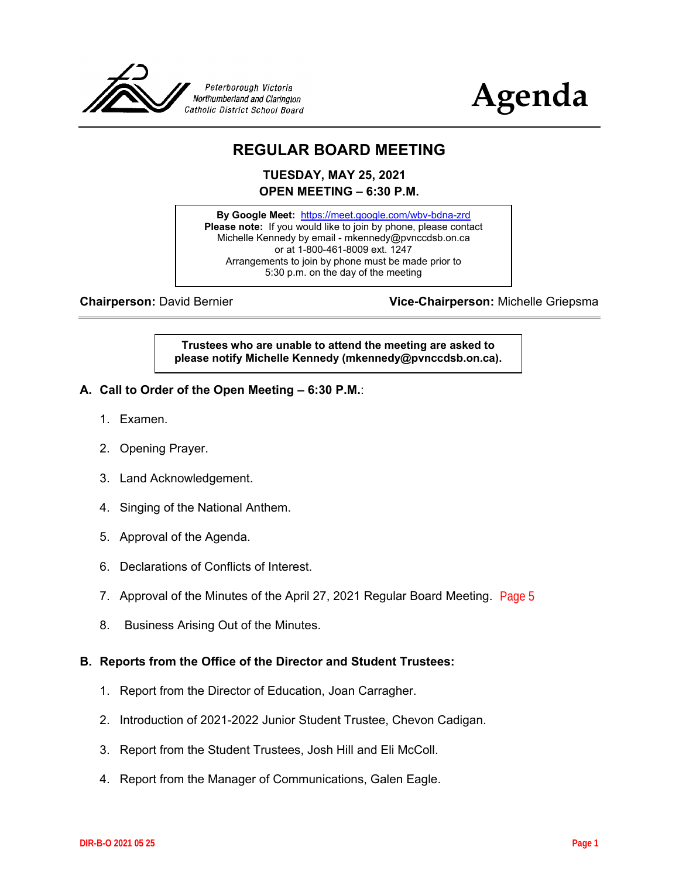



# **REGULAR BOARD MEETING**

**TUESDAY, MAY 25, 2021 OPEN MEETING – 6:30 P.M.**

**By Google Meet:** <https://meet.google.com/wbv-bdna-zrd> **Please note:** If you would like to join by phone, please contact Michelle Kennedy by email - mkennedy@pvnccdsb.on.ca or at 1-800-461-8009 ext. 1247 Arrangements to join by phone must be made prior to 5:30 p.m. on the day of the meeting

**Chairperson:** David Bernier **Vice-Chairperson:** Michelle Griepsma

**Trustees who are unable to attend the meeting are asked to please notify Michelle Kennedy (mkennedy@pvnccdsb.on.ca).**

- **A. Call to Order of the Open Meeting – 6:30 P.M.**:
	- 1. Examen.
	- 2. Opening Prayer.
	- 3. Land Acknowledgement.
	- 4. Singing of the National Anthem.
	- 5. Approval of the Agenda.
	- 6. Declarations of Conflicts of Interest.
	- 7. Approval of the Minutes of the April 27, 2021 Regular Board Meeting. [Page 5](#page-4-0)
	- 8. Business Arising Out of the Minutes.

#### **B. Reports from the Office of the Director and Student Trustees:**

- 1. Report from the Director of Education, Joan Carragher.
- 2. Introduction of 2021-2022 Junior Student Trustee, Chevon Cadigan.
- 3. Report from the Student Trustees, Josh Hill and Eli McColl.
- 4. Report from the Manager of Communications, Galen Eagle.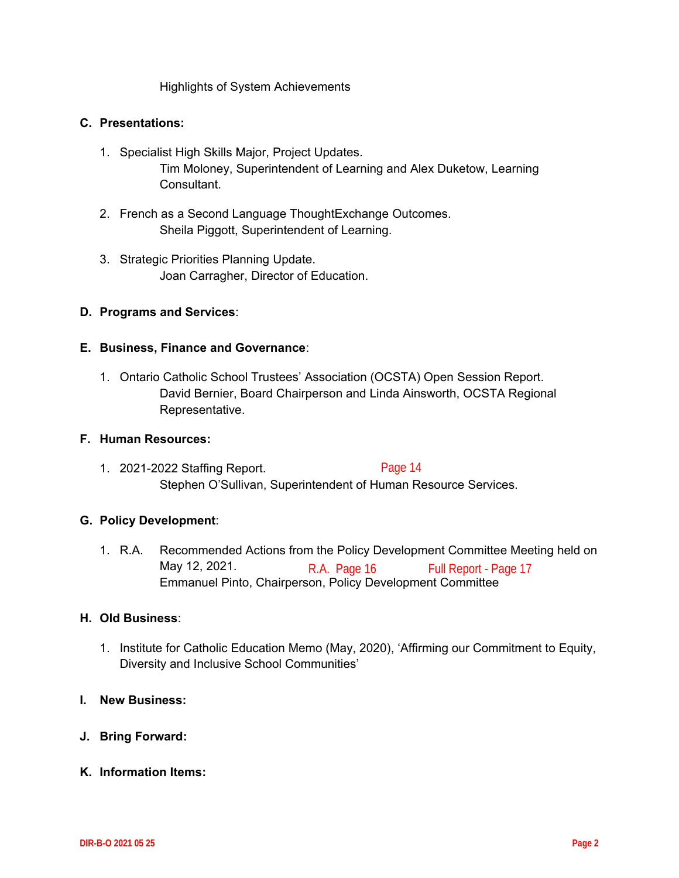Highlights of System Achievements

#### **C. Presentations:**

- 1. Specialist High Skills Major, Project Updates. Tim Moloney, Superintendent of Learning and Alex Duketow, Learning Consultant.
- 2. French as a Second Language ThoughtExchange Outcomes. Sheila Piggott, Superintendent of Learning.
- 3. Strategic Priorities Planning Update. Joan Carragher, Director of Education.

#### **D. Programs and Services**:

#### **E. Business, Finance and Governance**:

1. Ontario Catholic School Trustees' Association (OCSTA) Open Session Report. David Bernier, Board Chairperson and Linda Ainsworth, OCSTA Regional Representative.

#### **F. Human Resources:**

1. 2021-2022 Staffing Report. Stephen O'Sullivan, Superintendent of Human Resource Services. [Page 14](#page-13-0)

#### **G. Policy Development**:

1. R.A. Recommended Actions from the Policy Development Committee Meeting held on May 12, 2021. Emmanuel Pinto, Chairperson, Policy Development Committee [R.A. Page 16](#page-15-0) Ful[l Report - Page 17](#page-16-0)

#### **H. Old Business**:

- 1. Institute for Catholic Education Memo (May, 2020), 'Affirming our Commitment to Equity, Diversity and Inclusive School Communities'
- **I. New Business:**
- **J. Bring Forward:**
- **K. Information Items:**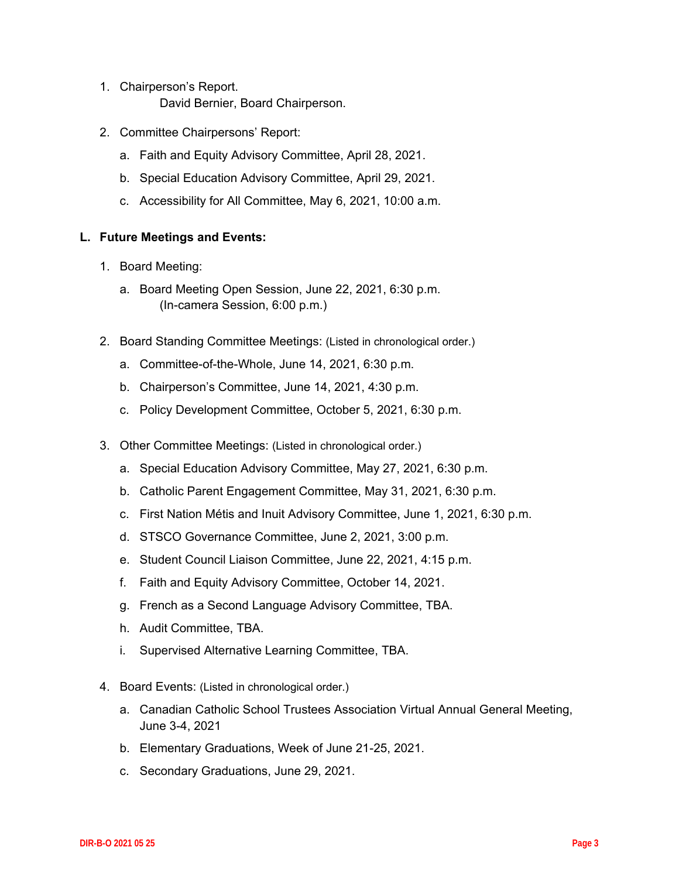- 1. Chairperson's Report. David Bernier, Board Chairperson.
- 2. Committee Chairpersons' Report:
	- a. Faith and Equity Advisory Committee, April 28, 2021.
	- b. Special Education Advisory Committee, April 29, 2021.
	- c. Accessibility for All Committee, May 6, 2021, 10:00 a.m.

### **L. Future Meetings and Events:**

- 1. Board Meeting:
	- a. Board Meeting Open Session, June 22, 2021, 6:30 p.m. (In-camera Session, 6:00 p.m.)
- 2. Board Standing Committee Meetings: (Listed in chronological order.)
	- a. Committee-of-the-Whole, June 14, 2021, 6:30 p.m.
	- b. Chairperson's Committee, June 14, 2021, 4:30 p.m.
	- c. Policy Development Committee, October 5, 2021, 6:30 p.m.
- 3. Other Committee Meetings: (Listed in chronological order.)
	- a. Special Education Advisory Committee, May 27, 2021, 6:30 p.m.
	- b. Catholic Parent Engagement Committee, May 31, 2021, 6:30 p.m.
	- c. First Nation Métis and Inuit Advisory Committee, June 1, 2021, 6:30 p.m.
	- d. STSCO Governance Committee, June 2, 2021, 3:00 p.m.
	- e. Student Council Liaison Committee, June 22, 2021, 4:15 p.m.
	- f. Faith and Equity Advisory Committee, October 14, 2021.
	- g. French as a Second Language Advisory Committee, TBA.
	- h. Audit Committee, TBA.
	- i. Supervised Alternative Learning Committee, TBA.
- 4. Board Events: (Listed in chronological order.)
	- a. Canadian Catholic School Trustees Association Virtual Annual General Meeting, June 3-4, 2021
	- b. Elementary Graduations, Week of June 21-25, 2021.
	- c. Secondary Graduations, June 29, 2021.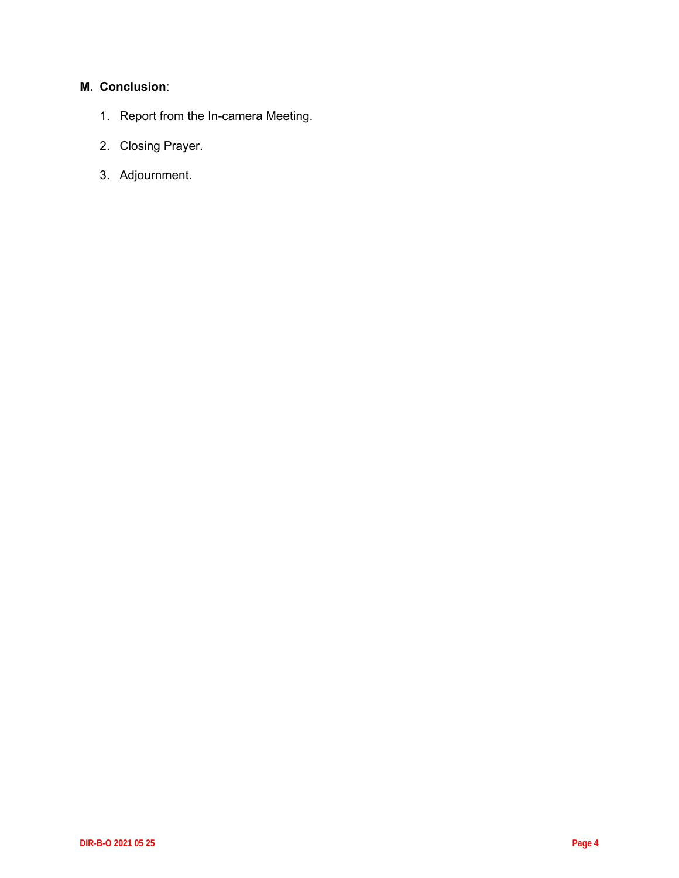## **M. Conclusion**:

- 1. Report from the In-camera Meeting.
- 2. Closing Prayer.
- 3. Adjournment.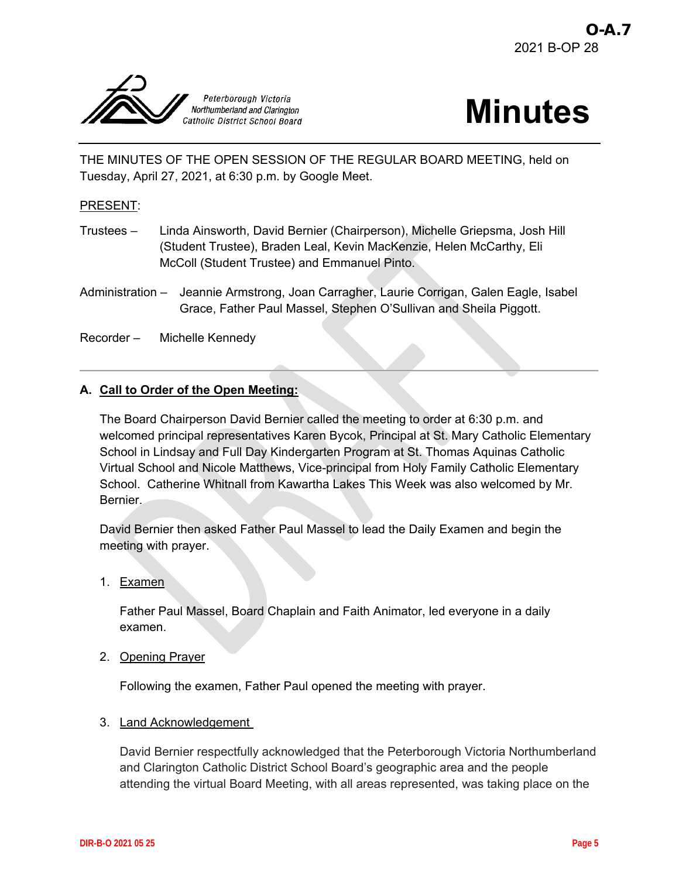<span id="page-4-0"></span>



THE MINUTES OF THE OPEN SESSION OF THE REGULAR BOARD MEETING, held on Tuesday, April 27, 2021, at 6:30 p.m. by Google Meet.

#### PRESENT:

- Trustees Linda Ainsworth, David Bernier (Chairperson), Michelle Griepsma, Josh Hill (Student Trustee), Braden Leal, Kevin MacKenzie, Helen McCarthy, Eli McColl (Student Trustee) and Emmanuel Pinto.
- Administration Jeannie Armstrong, Joan Carragher, Laurie Corrigan, Galen Eagle, Isabel Grace, Father Paul Massel, Stephen O'Sullivan and Sheila Piggott.

Recorder – Michelle Kennedy

#### **A. Call to Order of the Open Meeting:**

The Board Chairperson David Bernier called the meeting to order at 6:30 p.m. and welcomed principal representatives Karen Bycok, Principal at St. Mary Catholic Elementary School in Lindsay and Full Day Kindergarten Program at St. Thomas Aquinas Catholic Virtual School and Nicole Matthews, Vice-principal from Holy Family Catholic Elementary School. Catherine Whitnall from Kawartha Lakes This Week was also welcomed by Mr. Bernier.

David Bernier then asked Father Paul Massel to lead the Daily Examen and begin the meeting with prayer.

1. Examen

Father Paul Massel, Board Chaplain and Faith Animator, led everyone in a daily examen.

2. Opening Prayer

Following the examen, Father Paul opened the meeting with prayer.

#### 3. Land Acknowledgement

David Bernier respectfully acknowledged that the Peterborough Victoria Northumberland and Clarington Catholic District School Board's geographic area and the people attending the virtual Board Meeting, with all areas represented, was taking place on the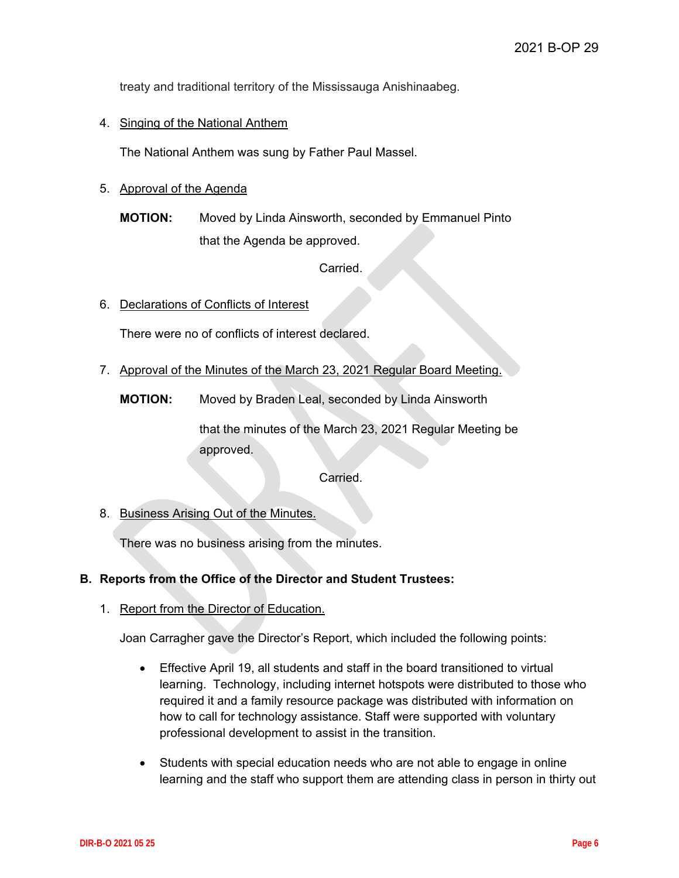treaty and traditional territory of the Mississauga Anishinaabeg.

4. Singing of the National Anthem

The National Anthem was sung by Father Paul Massel.

- 5. Approval of the Agenda
	- **MOTION:** Moved by Linda Ainsworth, seconded by Emmanuel Pinto that the Agenda be approved.

Carried.

6. Declarations of Conflicts of Interest

There were no of conflicts of interest declared.

7. Approval of the Minutes of the March 23, 2021 Regular Board Meeting.

**MOTION:** Moved by Braden Leal, seconded by Linda Ainsworth

that the minutes of the March 23, 2021 Regular Meeting be approved.

Carried.

8. Business Arising Out of the Minutes.

There was no business arising from the minutes.

#### **B. Reports from the Office of the Director and Student Trustees:**

1. Report from the Director of Education.

Joan Carragher gave the Director's Report, which included the following points:

- Effective April 19, all students and staff in the board transitioned to virtual learning. Technology, including internet hotspots were distributed to those who required it and a family resource package was distributed with information on how to call for technology assistance. Staff were supported with voluntary professional development to assist in the transition.
- Students with special education needs who are not able to engage in online learning and the staff who support them are attending class in person in thirty out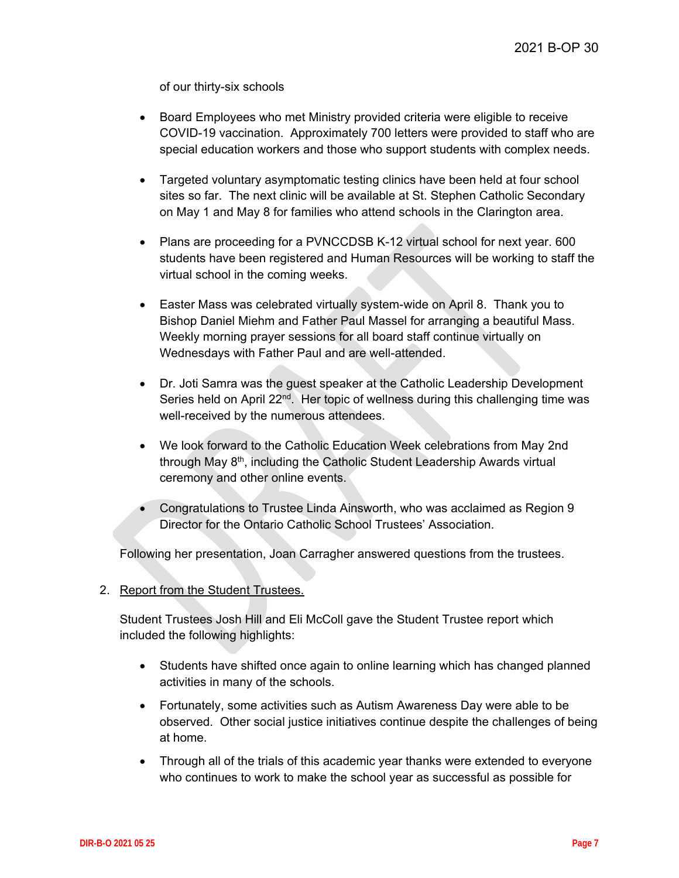of our thirty-six schools

- Board Employees who met Ministry provided criteria were eligible to receive COVID-19 vaccination. Approximately 700 letters were provided to staff who are special education workers and those who support students with complex needs.
- Targeted voluntary asymptomatic testing clinics have been held at four school sites so far. The next clinic will be available at St. Stephen Catholic Secondary on May 1 and May 8 for families who attend schools in the Clarington area.
- Plans are proceeding for a PVNCCDSB K-12 virtual school for next year. 600 students have been registered and Human Resources will be working to staff the virtual school in the coming weeks.
- Easter Mass was celebrated virtually system-wide on April 8. Thank you to Bishop Daniel Miehm and Father Paul Massel for arranging a beautiful Mass. Weekly morning prayer sessions for all board staff continue virtually on Wednesdays with Father Paul and are well-attended.
- Dr. Joti Samra was the guest speaker at the Catholic Leadership Development Series held on April 22<sup>nd</sup>. Her topic of wellness during this challenging time was well-received by the numerous attendees.
- We look forward to the Catholic Education Week celebrations from May 2nd through May 8th, including the Catholic Student Leadership Awards virtual ceremony and other online events.
- Congratulations to Trustee Linda Ainsworth, who was acclaimed as Region 9 Director for the Ontario Catholic School Trustees' Association.

Following her presentation, Joan Carragher answered questions from the trustees.

#### 2. Report from the Student Trustees.

Student Trustees Josh Hill and Eli McColl gave the Student Trustee report which included the following highlights:

- Students have shifted once again to online learning which has changed planned activities in many of the schools.
- Fortunately, some activities such as Autism Awareness Day were able to be observed. Other social justice initiatives continue despite the challenges of being at home.
- Through all of the trials of this academic year thanks were extended to everyone who continues to work to make the school year as successful as possible for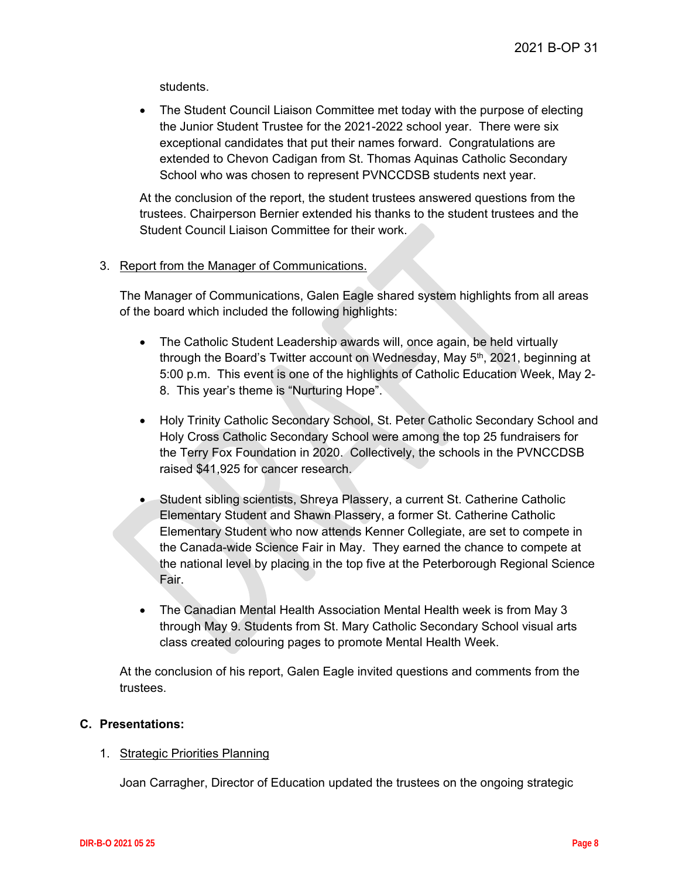students.

• The Student Council Liaison Committee met today with the purpose of electing the Junior Student Trustee for the 2021-2022 school year. There were six exceptional candidates that put their names forward. Congratulations are extended to Chevon Cadigan from St. Thomas Aquinas Catholic Secondary School who was chosen to represent PVNCCDSB students next year.

At the conclusion of the report, the student trustees answered questions from the trustees. Chairperson Bernier extended his thanks to the student trustees and the Student Council Liaison Committee for their work.

#### 3. Report from the Manager of Communications.

The Manager of Communications, Galen Eagle shared system highlights from all areas of the board which included the following highlights:

- The Catholic Student Leadership awards will, once again, be held virtually through the Board's Twitter account on Wednesday, May 5<sup>th</sup>, 2021, beginning at 5:00 p.m. This event is one of the highlights of Catholic Education Week, May 2- 8. This year's theme is "Nurturing Hope".
- Holy Trinity Catholic Secondary School, St. Peter Catholic Secondary School and Holy Cross Catholic Secondary School were among the top 25 fundraisers for the Terry Fox Foundation in 2020. Collectively, the schools in the PVNCCDSB raised \$41,925 for cancer research.
- Student sibling scientists, Shreya Plassery, a current St. Catherine Catholic Elementary Student and Shawn Plassery, a former St. Catherine Catholic Elementary Student who now attends Kenner Collegiate, are set to compete in the Canada-wide Science Fair in May. They earned the chance to compete at the national level by placing in the top five at the Peterborough Regional Science Fair.
- The Canadian Mental Health Association Mental Health week is from May 3 through May 9. Students from St. Mary Catholic Secondary School visual arts class created colouring pages to promote Mental Health Week.

At the conclusion of his report, Galen Eagle invited questions and comments from the trustees.

#### **C. Presentations:**

#### 1. Strategic Priorities Planning

Joan Carragher, Director of Education updated the trustees on the ongoing strategic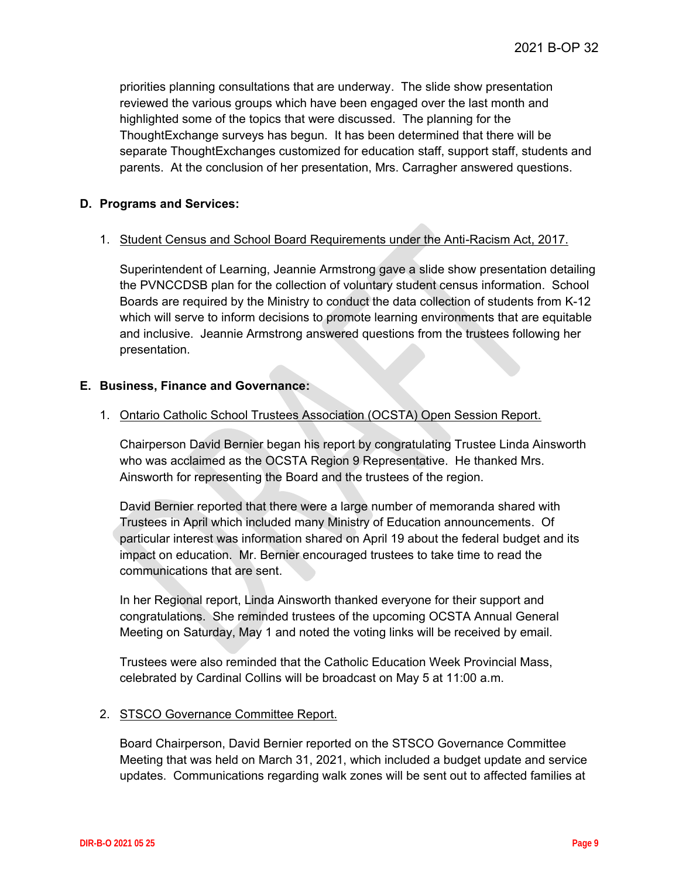priorities planning consultations that are underway. The slide show presentation reviewed the various groups which have been engaged over the last month and highlighted some of the topics that were discussed. The planning for the ThoughtExchange surveys has begun. It has been determined that there will be separate ThoughtExchanges customized for education staff, support staff, students and parents. At the conclusion of her presentation, Mrs. Carragher answered questions.

#### **D. Programs and Services:**

#### 1. Student Census and School Board Requirements under the Anti-Racism Act, 2017.

Superintendent of Learning, Jeannie Armstrong gave a slide show presentation detailing the PVNCCDSB plan for the collection of voluntary student census information. School Boards are required by the Ministry to conduct the data collection of students from K-12 which will serve to inform decisions to promote learning environments that are equitable and inclusive. Jeannie Armstrong answered questions from the trustees following her presentation.

#### **E. Business, Finance and Governance:**

#### 1. Ontario Catholic School Trustees Association (OCSTA) Open Session Report.

Chairperson David Bernier began his report by congratulating Trustee Linda Ainsworth who was acclaimed as the OCSTA Region 9 Representative. He thanked Mrs. Ainsworth for representing the Board and the trustees of the region.

David Bernier reported that there were a large number of memoranda shared with Trustees in April which included many Ministry of Education announcements. Of particular interest was information shared on April 19 about the federal budget and its impact on education. Mr. Bernier encouraged trustees to take time to read the communications that are sent.

In her Regional report, Linda Ainsworth thanked everyone for their support and congratulations. She reminded trustees of the upcoming OCSTA Annual General Meeting on Saturday, May 1 and noted the voting links will be received by email.

Trustees were also reminded that the Catholic Education Week Provincial Mass, celebrated by Cardinal Collins will be broadcast on May 5 at 11:00 a.m.

#### 2. STSCO Governance Committee Report.

Board Chairperson, David Bernier reported on the STSCO Governance Committee Meeting that was held on March 31, 2021, which included a budget update and service updates. Communications regarding walk zones will be sent out to affected families at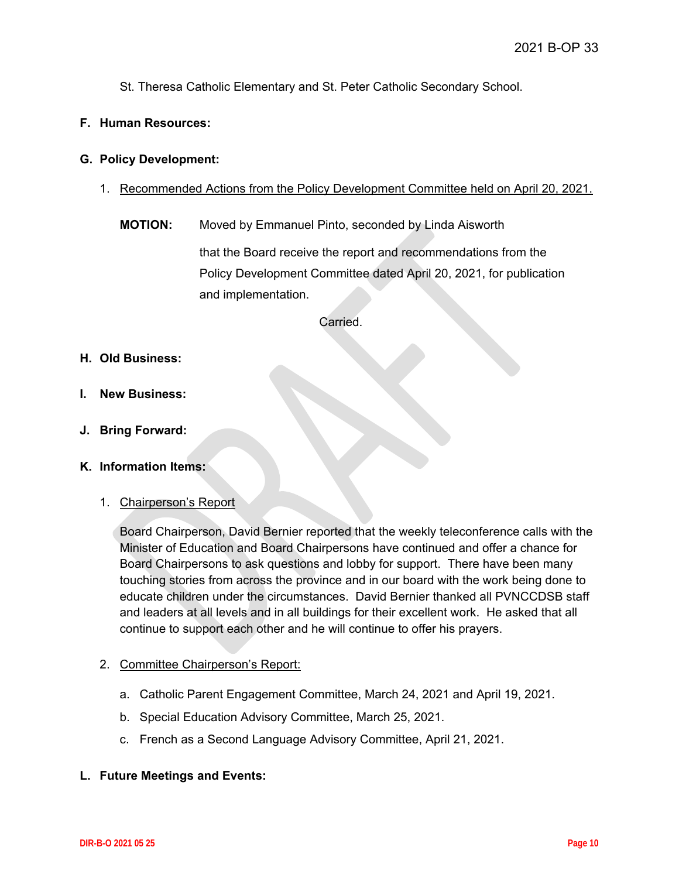St. Theresa Catholic Elementary and St. Peter Catholic Secondary School.

#### **F. Human Resources:**

#### **G. Policy Development:**

- 1. Recommended Actions from the Policy Development Committee held on April 20, 2021.
	- **MOTION:** Moved by Emmanuel Pinto, seconded by Linda Aisworth

that the Board receive the report and recommendations from the Policy Development Committee dated April 20, 2021, for publication and implementation.

Carried.

- **H. Old Business:**
- **I. New Business:**
- **J. Bring Forward:**
- **K. Information Items:**
	- 1. Chairperson's Report

Board Chairperson, David Bernier reported that the weekly teleconference calls with the Minister of Education and Board Chairpersons have continued and offer a chance for Board Chairpersons to ask questions and lobby for support. There have been many touching stories from across the province and in our board with the work being done to educate children under the circumstances. David Bernier thanked all PVNCCDSB staff and leaders at all levels and in all buildings for their excellent work. He asked that all continue to support each other and he will continue to offer his prayers.

#### 2. Committee Chairperson's Report:

- a. Catholic Parent Engagement Committee, March 24, 2021 and April 19, 2021.
- b. Special Education Advisory Committee, March 25, 2021.
- c. French as a Second Language Advisory Committee, April 21, 2021.
- **L. Future Meetings and Events:**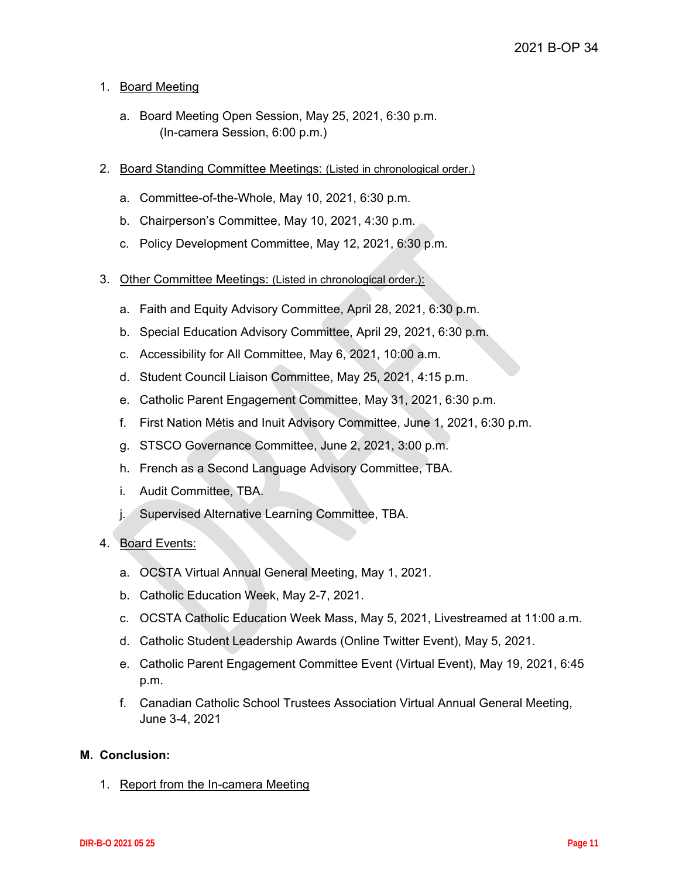#### 1. Board Meeting

- a. Board Meeting Open Session, May 25, 2021, 6:30 p.m. (In-camera Session, 6:00 p.m.)
- 2. Board Standing Committee Meetings: (Listed in chronological order.)
	- a. Committee-of-the-Whole, May 10, 2021, 6:30 p.m.
	- b. Chairperson's Committee, May 10, 2021, 4:30 p.m.
	- c. Policy Development Committee, May 12, 2021, 6:30 p.m.
- 3. Other Committee Meetings: (Listed in chronological order.):
	- a. Faith and Equity Advisory Committee, April 28, 2021, 6:30 p.m.
	- b. Special Education Advisory Committee, April 29, 2021, 6:30 p.m.
	- c. Accessibility for All Committee, May 6, 2021, 10:00 a.m.
	- d. Student Council Liaison Committee, May 25, 2021, 4:15 p.m.
	- e. Catholic Parent Engagement Committee, May 31, 2021, 6:30 p.m.
	- f. First Nation Métis and Inuit Advisory Committee, June 1, 2021, 6:30 p.m.
	- g. STSCO Governance Committee, June 2, 2021, 3:00 p.m.
	- h. French as a Second Language Advisory Committee, TBA.
	- i. Audit Committee, TBA.
	- j. Supervised Alternative Learning Committee, TBA.

#### 4. Board Events:

- a. OCSTA Virtual Annual General Meeting, May 1, 2021.
- b. Catholic Education Week, May 2-7, 2021.
- c. OCSTA Catholic Education Week Mass, May 5, 2021, Livestreamed at 11:00 a.m.
- d. Catholic Student Leadership Awards (Online Twitter Event), May 5, 2021.
- e. Catholic Parent Engagement Committee Event (Virtual Event), May 19, 2021, 6:45 p.m.
- f. Canadian Catholic School Trustees Association Virtual Annual General Meeting, June 3-4, 2021

#### **M. Conclusion:**

1. Report from the In-camera Meeting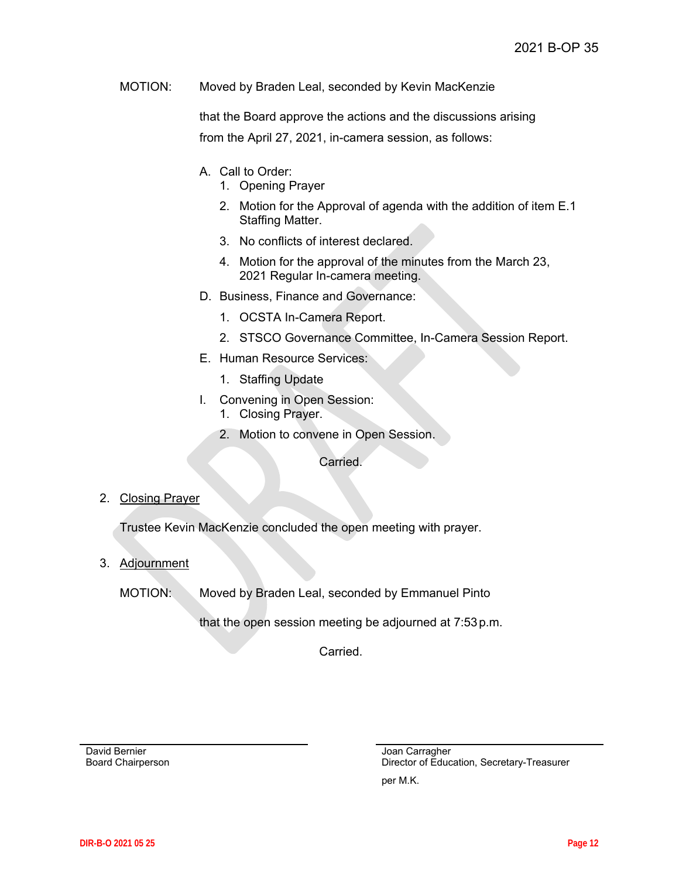MOTION: Moved by Braden Leal, seconded by Kevin MacKenzie

that the Board approve the actions and the discussions arising from the April 27, 2021, in-camera session, as follows:

- A. Call to Order:
	- 1. Opening Prayer
	- 2. Motion for the Approval of agenda with the addition of item E.1 Staffing Matter.
	- 3. No conflicts of interest declared.
	- 4. Motion for the approval of the minutes from the March 23, 2021 Regular In-camera meeting.
- D. Business, Finance and Governance:
	- 1. OCSTA In-Camera Report.
	- 2. STSCO Governance Committee, In-Camera Session Report.
- E. Human Resource Services:
	- 1. Staffing Update
- I. Convening in Open Session:
	- 1. Closing Prayer.
	- 2. Motion to convene in Open Session.

Carried.

2. Closing Prayer

Trustee Kevin MacKenzie concluded the open meeting with prayer.

3. Adjournment

MOTION: Moved by Braden Leal, seconded by Emmanuel Pinto

that the open session meeting be adjourned at 7:53p.m.

Carried.

David Bernier Board Chairperson Joan Carragher Director of Education, Secretary-Treasurer

per M.K.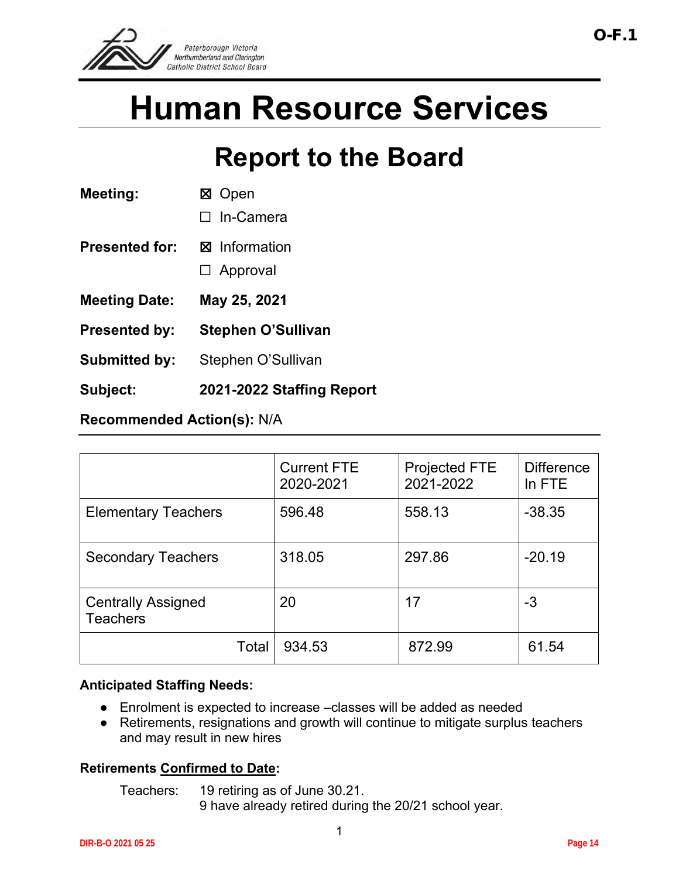<span id="page-13-0"></span>

# **Human Resource Services**

# **Report to the Board**

| <b>Meeting:</b>       | ⊠ Open                    |  |
|-----------------------|---------------------------|--|
|                       | $\Box$ In-Camera          |  |
| <b>Presented for:</b> | <b>⊠</b> Information      |  |
|                       | $\Box$ Approval           |  |
| <b>Meeting Date:</b>  | May 25, 2021              |  |
| <b>Presented by:</b>  | <b>Stephen O'Sullivan</b> |  |
| <b>Submitted by:</b>  | Stephen O'Sullivan        |  |
| Subject:              | 2021-2022 Staffing        |  |
|                       |                           |  |

**Recommended Action(s):** N/A

|                                              | <b>Current FTE</b><br>2020-2021 | Projected FTE<br>2021-2022 | <b>Difference</b><br>In FTE |
|----------------------------------------------|---------------------------------|----------------------------|-----------------------------|
| <b>Elementary Teachers</b>                   | 596.48                          | 558.13                     | $-38.35$                    |
| <b>Secondary Teachers</b>                    | 318.05                          | 297.86                     | $-20.19$                    |
| <b>Centrally Assigned</b><br><b>Teachers</b> | 20                              | 17                         | -3                          |
| Total                                        | 934.53                          | 872.99                     | 61.54                       |

**Report** 

## **Anticipated Staffing Needs:**

- Enrolment is expected to increase –classes will be added as needed
- Retirements, resignations and growth will continue to mitigate surplus teachers and may result in new hires

## **Retirements Confirmed to Date:**

Teachers: 19 retiring as of June 30.21.

9 have already retired during the 20/21 school year.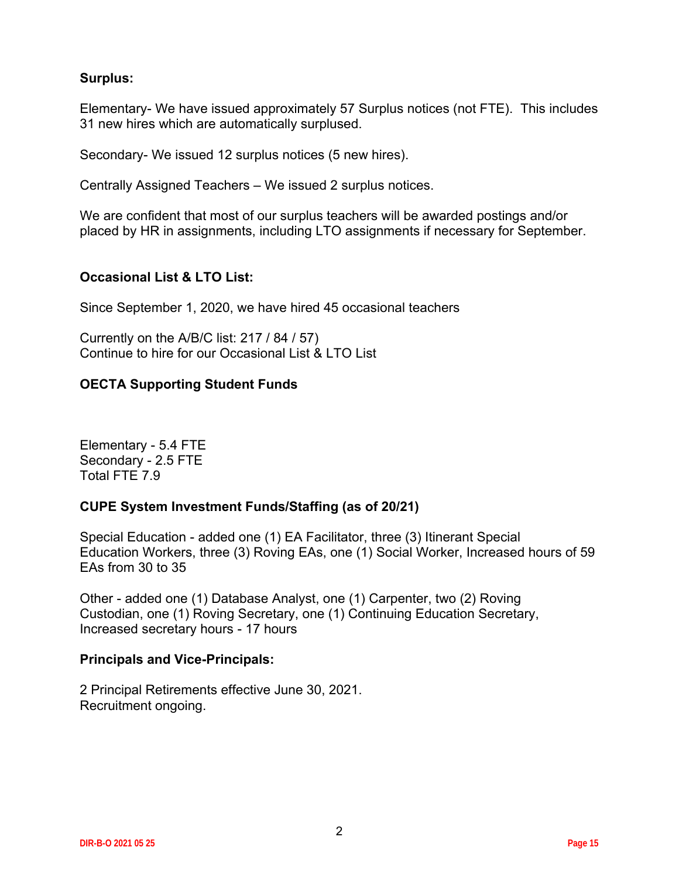## **Surplus:**

Elementary- We have issued approximately 57 Surplus notices (not FTE). This includes 31 new hires which are automatically surplused.

Secondary- We issued 12 surplus notices (5 new hires).

Centrally Assigned Teachers – We issued 2 surplus notices.

We are confident that most of our surplus teachers will be awarded postings and/or placed by HR in assignments, including LTO assignments if necessary for September.

## **Occasional List & LTO List:**

Since September 1, 2020, we have hired 45 occasional teachers

Currently on the A/B/C list: 217 / 84 / 57) Continue to hire for our Occasional List & LTO List

## **OECTA Supporting Student Funds**

Elementary - 5.4 FTE Secondary - 2.5 FTE Total FTE 7.9

## **CUPE System Investment Funds/Staffing (as of 20/21)**

Special Education - added one (1) EA Facilitator, three (3) Itinerant Special Education Workers, three (3) Roving EAs, one (1) Social Worker, Increased hours of 59 EAs from 30 to 35

Other - added one (1) Database Analyst, one (1) Carpenter, two (2) Roving Custodian, one (1) Roving Secretary, one (1) Continuing Education Secretary, Increased secretary hours - 17 hours

## **Principals and Vice-Principals:**

2 Principal Retirements effective June 30, 2021. Recruitment ongoing.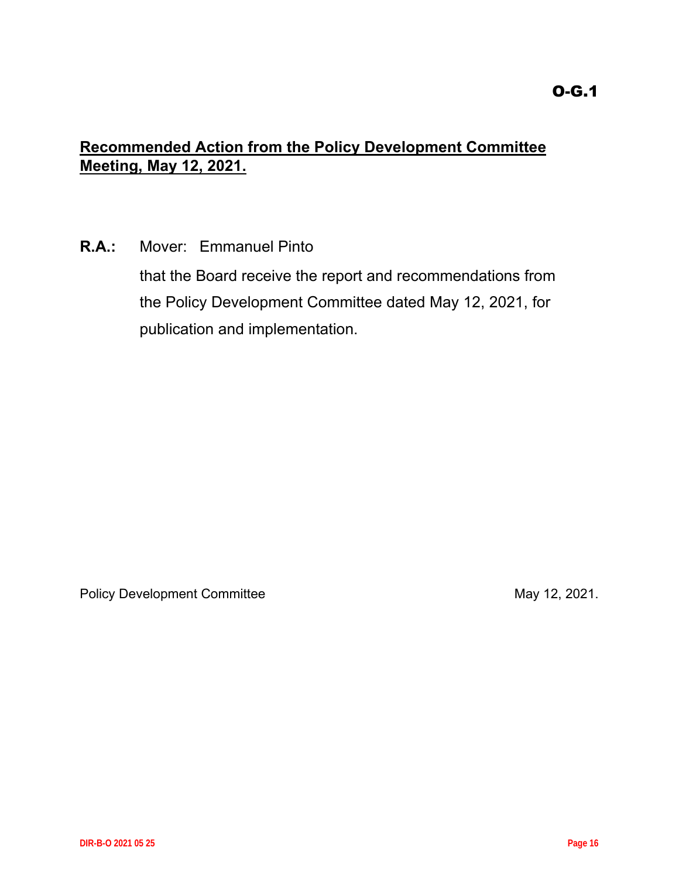## <span id="page-15-0"></span>**Recommended Action from the Policy Development Committee Meeting, May 12, 2021.**

**R.A.:** Mover: Emmanuel Pinto

that the Board receive the report and recommendations from the Policy Development Committee dated May 12, 2021, for publication and implementation.

Policy Development Committee May 12, 2021.